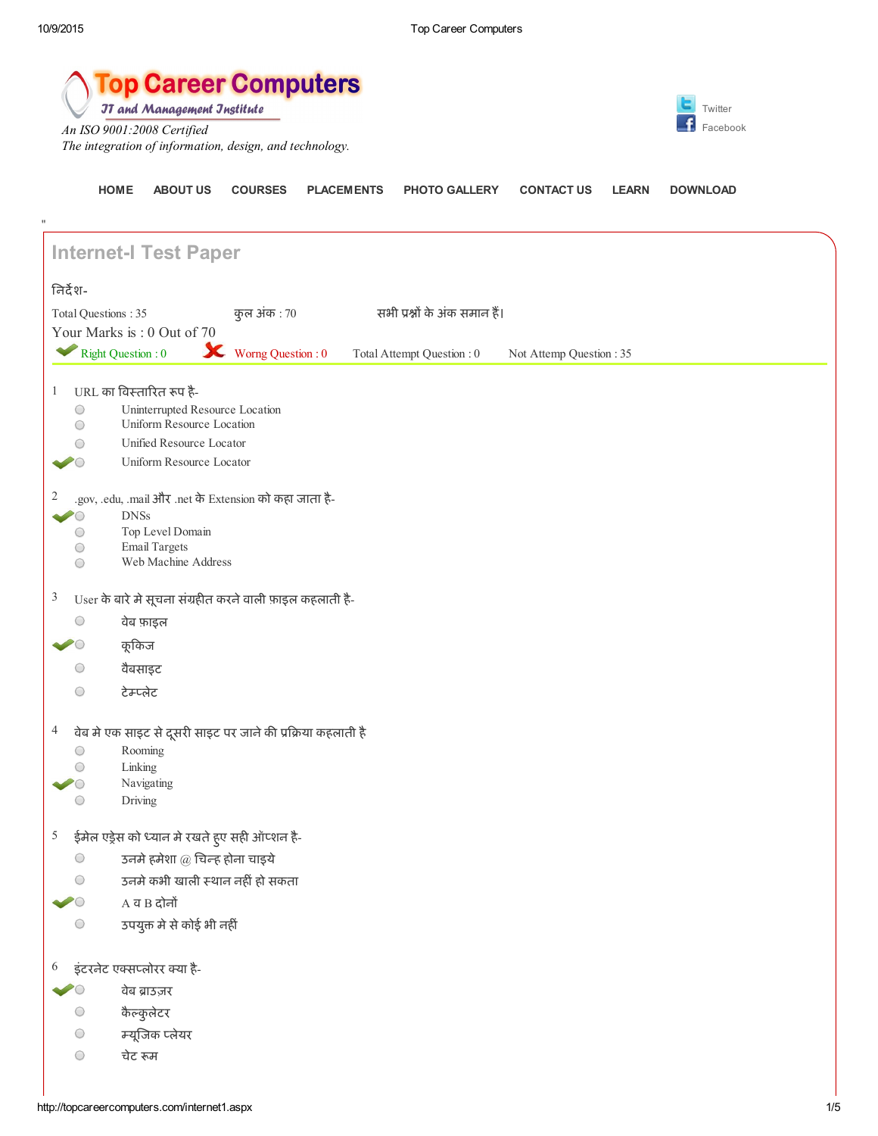"

[HOME](http://topcareercomputers.com/Default.aspx) [ABOUT](http://topcareercomputers.com/AboutUs.aspx) US [COURSES](http://topcareercomputers.com/course.aspx) [PLACEMENTS](http://topcareercomputers.com/placement.aspx) PHOTO [GALLERY](http://topcareercomputers.com/gallary.aspx) [CONTACT](http://topcareercomputers.com/contect1.aspx) US [LEARN](http://topcareercomputers.com/learn.aspx) [DOWNLOAD](http://topcareercomputers.com/Downloads.aspx)



**JT and Management Jnstitute** 

*An ISO 9001:2008 Certified The integration of information, design, and technology.*



Internet-I Test Paper िनदश-Total Questions : 35 कुल अंक : 70 सभी प्रश्नों के अंक समान हैं। Your Marks is : 0 Out of 70 Right Question : 0 Worng Question : 0 Total Attempt Question : 0 Not Attemp Question : 35 1 URL का विस्तारित रूप है- $\bigcirc$ Uninterrupted Resource Location Uniform Resource Location  $\bigcirc$ Unified Resource Locator  $\bigcirc$  $\sim$  0 Uniform Resource Locator 2 .gov, .edu, .mail और .net केExtension को कहा जाता है- DNSs  $\bullet$ Top Level Domain  $\bigcirc$ Email Targets  $\bigcirc$ Web Machine Address  $\bigcirc$  $3$  User के बारे मे सूचना संग्रहीत करने वाली फ़ाइल कहलाती है- $\bigcirc$ वेब फ़ाइल  $\blacktriangleright$ कूकिज  $\bigcirc$ वैबसाइट  $\bigcirc$ टेलेट  $4$  वेब मे एक साइट से दूसरी साइट पर जाने की प्रक्रिया कहलाती है  $\bigcirc$ Rooming  $\bigcirc$ Linking  $\bullet$ Navigating  $\bigcirc$ Driving  $5$  ईमेल एड्रेस को ध्यान मे रखते हुए सही ऑप्शन है- $\bigcirc$ उनमे हमेशा  $@$  चिन्ह होना चाइये  $\bigcirc$ उनमे कभी खाली स्थान नहीं हो सकता  $\bullet$  $A$  व $B$  दोनों उपयुक्त मे से कोई भी नहीं  $\bigcirc$  $6$  इंटरनेट एक्सप्लोरर क्या है-वेब ाउज़र  $\sum_{i=1}^{n}$  $\bigcirc$ कैकुलेटर  $\bigcirc$ यूजक लेयर  $\bigcirc$ चेट रूम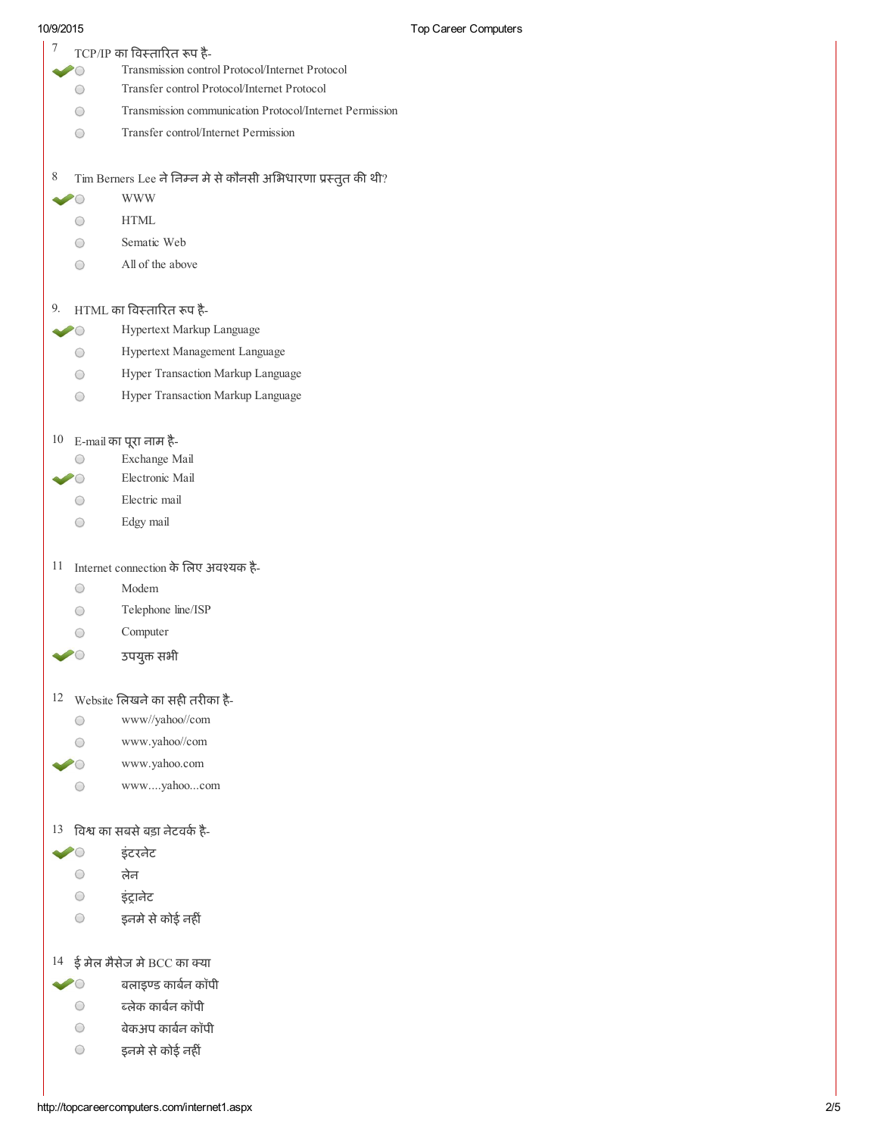- $7$  TCP/IP का विस्तारित रूप है-
	- Transmission control Protocol/Internet Protocol  $\bullet$
	- Transfer control Protocol/Internet Protocol  $\bigcirc$
	- $\bigcirc$ Transmission communication Protocol/Internet Permission
	- $\bigcirc$ Transfer control/Internet Permission

 $8$  Tim Berners Lee ने निम्न मे से कौनसी अभिधारणा प्रस्तुत की थी?

- WWW  $\sim$  0
	- HTML  $\bigcirc$
	- $\bigcirc$ Sematic Web
	- All of the above  $\bigcirc$

### $9.$  HTML का विस्तारित रूप है-

- Hypertext Markup Language  $\bullet$ 
	- $\bigcirc$ Hypertext Management Language
	- Hyper Transaction Markup Language  $\bigcirc$
	- $\bigcirc$ Hyper Transaction Markup Language

# $10$  E-mail का पूरा नाम है-

- Exchange Mail  $\bigcirc$
- Electronic Mail  $\sim$  0
	- Electric mail  $\bigcirc$
	- Edgy mail  $\bigcirc$

## 11 Internet connection के लिए अवश्यक है-

- $\bigcirc$ Modem
- Telephone line/ISP  $\bigcirc$
- Computer  $\bigcirc$
- उपयुक्त सभी  $\sim$  0

# $12$  Website लिखने का सही तरीका है-

- www//yahoo//com  $\bigcirc$
- www.yahoo//com  $\bigcirc$
- $\bullet$ www.yahoo.com
	- www....yahoo...com  $\bigcirc$

### $13$  विश्व का सबसे बड़ा नेटवर्क है-

- इंटरनटे  $\geq$
- $\bigcirc$ लेन
- $\bigcirc$ इंट्रानेट
- $\bigcirc$ इनमे से कोई नहीं

# $14$  ई मेल मैसेज मे BCC का क्या

- $\bullet$ बलाइण्ड कार्बन कॉपी
	- $\bigcirc$ ब्लेक कार्बन कॉपी
	- $\bigcirc$ बेकअप कार्बन कॉपी
	- $\bigcirc$ इनमे से कोई नहीं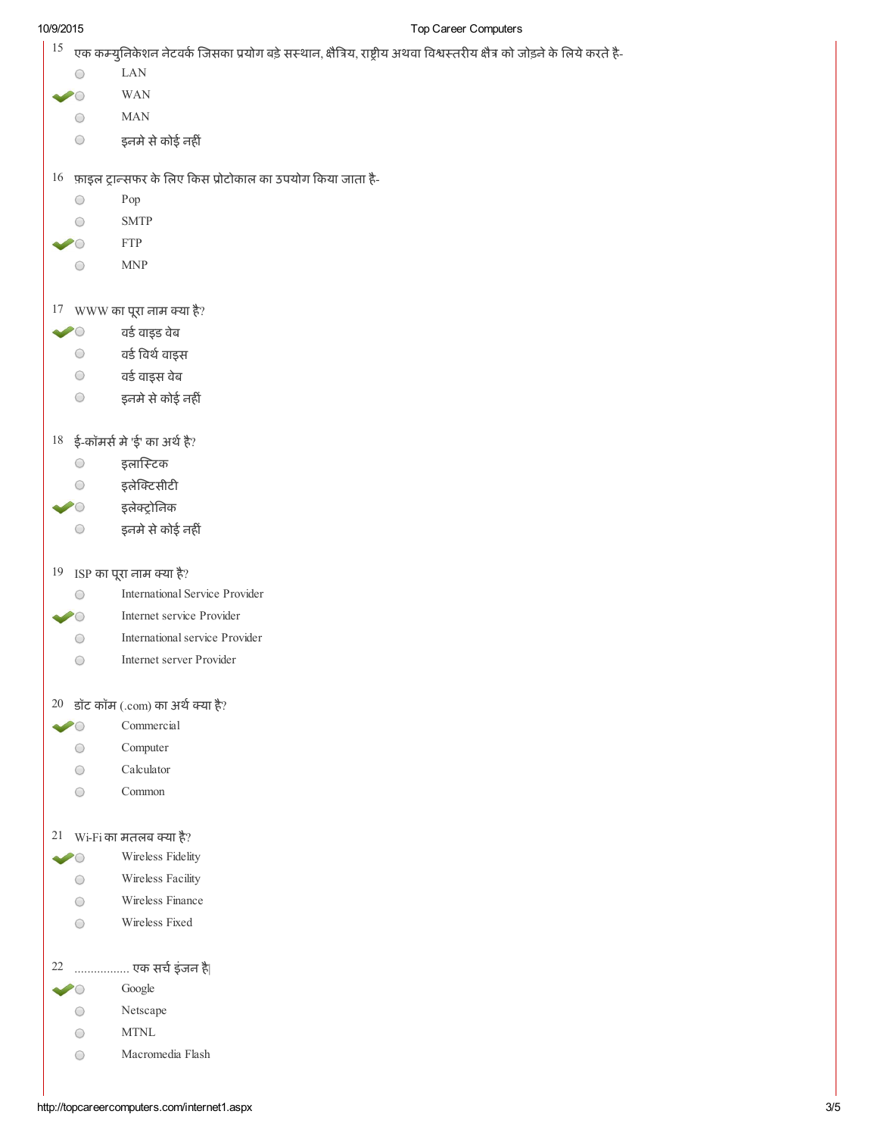### 10/9/2015 Top Career Computers

| 15         | एक कम्युनिकेशन नेटवर्क जिसका प्रयोग बड़े सस्थान, क्षैत्रिय, राष्ट्रीय अथवा विश्वस्तरीय क्षैत्र को जोड़ने के लिये करते है- |  |  |  |
|------------|---------------------------------------------------------------------------------------------------------------------------|--|--|--|
| O          | <b>LAN</b>                                                                                                                |  |  |  |
|            | <b>WAN</b>                                                                                                                |  |  |  |
| O          | <b>MAN</b>                                                                                                                |  |  |  |
| O          | इनमे से कोई नहीं                                                                                                          |  |  |  |
|            | $16$ फ़ाइल ट्रान्सफर के लिए किस प्रोटोकाल का उपयोग किया जाता है-                                                          |  |  |  |
| O          | Pop                                                                                                                       |  |  |  |
| O          | <b>SMTP</b>                                                                                                               |  |  |  |
|            | <b>FTP</b>                                                                                                                |  |  |  |
| O          | $\ensuremath{\mathsf{MNP}}$                                                                                               |  |  |  |
|            |                                                                                                                           |  |  |  |
|            | 17 WWW का पूरा नाम क्या है?                                                                                               |  |  |  |
| $\sim$ 0   | वर्ड वाइड वेब                                                                                                             |  |  |  |
|            | <b>ि वर्ड विर्थ वाइस</b>                                                                                                  |  |  |  |
|            | वर्ड वाइस वेब<br>$\bigcirc$                                                                                               |  |  |  |
| $\bigcirc$ | इनमे से कोई नहीं                                                                                                          |  |  |  |
|            | $18$ ई-कॉमर्स मे 'ई' का अर्थ है?                                                                                          |  |  |  |
| $\bigcirc$ | इलास्टिक                                                                                                                  |  |  |  |
| O          | इलेक्टिसीटी                                                                                                               |  |  |  |
| $\bullet$  | इलेक्ट्रोनिक                                                                                                              |  |  |  |
|            | इनमे से कोई नहीं<br>O                                                                                                     |  |  |  |
|            | 19 ISP का पूरा नाम क्या है?                                                                                               |  |  |  |
| 0          | <b>International Service Provider</b>                                                                                     |  |  |  |
|            | Internet service Provider                                                                                                 |  |  |  |
| O          | International service Provider                                                                                            |  |  |  |
| O          | Internet server Provider                                                                                                  |  |  |  |
|            | $20$ डॉट कॉम (.com) का अर्थ क्या है?                                                                                      |  |  |  |
|            | Commercial                                                                                                                |  |  |  |
| O          | Computer                                                                                                                  |  |  |  |
| ○          | Calculator                                                                                                                |  |  |  |
| O          | Common                                                                                                                    |  |  |  |
|            | $21$ Wi-Fi का मतलब क्या है?                                                                                               |  |  |  |
|            | Wireless Fidelity                                                                                                         |  |  |  |
| O          | Wireless Facility                                                                                                         |  |  |  |
| $\bigcirc$ | Wireless Finance                                                                                                          |  |  |  |
| О          | Wireless Fixed                                                                                                            |  |  |  |
| 22         | एक सर्च इंजन है                                                                                                           |  |  |  |
|            | Google                                                                                                                    |  |  |  |
|            | Netscape                                                                                                                  |  |  |  |
| O          | $\operatorname{MTNL}$                                                                                                     |  |  |  |
| O          |                                                                                                                           |  |  |  |
| O          | Macromedia Flash                                                                                                          |  |  |  |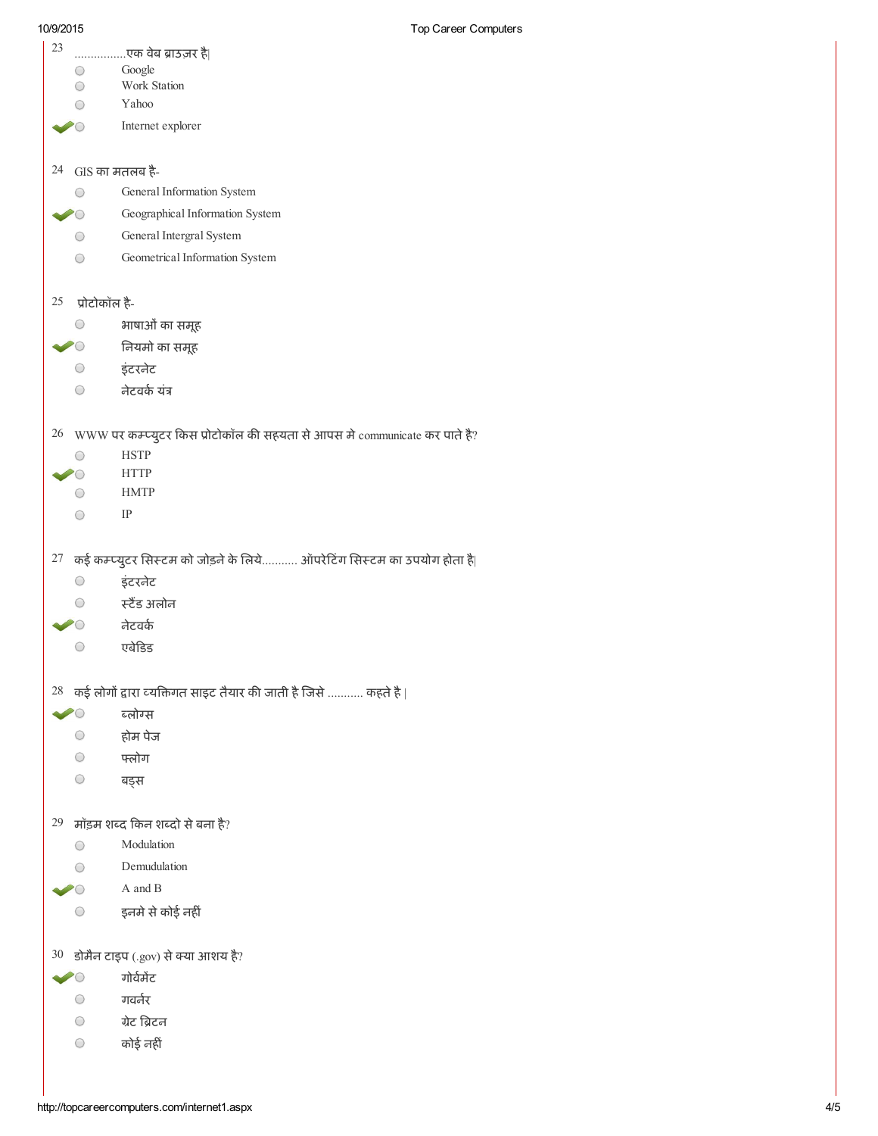| 23<br>$\bigcirc$<br>$\bigcirc$ | एक वेब ब्राउज़र है <br>Google<br>Work Station                                                 |  |  |  |
|--------------------------------|-----------------------------------------------------------------------------------------------|--|--|--|
|                                | Yahoo                                                                                         |  |  |  |
|                                | Internet explorer                                                                             |  |  |  |
| 24 GIS का मतलब है-<br>O        | General Information System                                                                    |  |  |  |
|                                | Geographical Information System                                                               |  |  |  |
| O                              | General Intergral System                                                                      |  |  |  |
| $\bigcirc$                     | Geometrical Information System                                                                |  |  |  |
| $25$ प्रोटोकॉल है-             |                                                                                               |  |  |  |
|                                | भाषाओं का समूह                                                                                |  |  |  |
|                                | े नियमो का समूह                                                                               |  |  |  |
|                                | ○ इंटरनेट                                                                                     |  |  |  |
| $\bigcirc$                     | नेटवर्क यंत्र                                                                                 |  |  |  |
|                                | $26$ WWW पर कम्प्युटर किस प्रोटोकॉल की सहयता से आपस मे communicate कर पाते है?<br><b>HSTP</b> |  |  |  |
|                                | <b>HTTP</b>                                                                                   |  |  |  |
| O                              | <b>HMTP</b>                                                                                   |  |  |  |
| O                              | IP                                                                                            |  |  |  |
| 0                              | $27$ कई कम्प्युटर सिस्टम को जोड़ने के लिये ऑपरेटिंग सिस्टम का उपयोग होता है <br>इंटरनेट       |  |  |  |
|                                | स्टैंड अलोन                                                                                   |  |  |  |
|                                | नेटवर्क                                                                                       |  |  |  |
| $\bigcirc$                     | एबेडिड                                                                                        |  |  |  |
|                                | $28$ कई लोगों द्वारा व्यक्तिगत साइट तैयार की जाती है जिसे  कहते है                            |  |  |  |
|                                | ब्लोग्स                                                                                       |  |  |  |
| O                              | होम पेज                                                                                       |  |  |  |
| $\bigcirc$                     | फ्लोग                                                                                         |  |  |  |
| $\bigcirc$                     | बङ्स                                                                                          |  |  |  |
|                                | 29 मॉड़म शब्द किन शब्दो से बना है?                                                            |  |  |  |
| $\bigcirc$                     | Modulation                                                                                    |  |  |  |
|                                | Demudulation                                                                                  |  |  |  |
|                                | A and B                                                                                       |  |  |  |
| $\bigcirc$                     | इनमे से कोई नहीं                                                                              |  |  |  |
|                                | $30$ डोमैन टाइप (.gov) से क्या आशय है?                                                        |  |  |  |
|                                | गोर्वमेंट                                                                                     |  |  |  |
| $\bigcirc$                     | गवर्नर                                                                                        |  |  |  |
| $\circ$                        | ग्रेट ब्रिटन                                                                                  |  |  |  |
| $\bigcirc$                     | कोई नहीं                                                                                      |  |  |  |
|                                |                                                                                               |  |  |  |